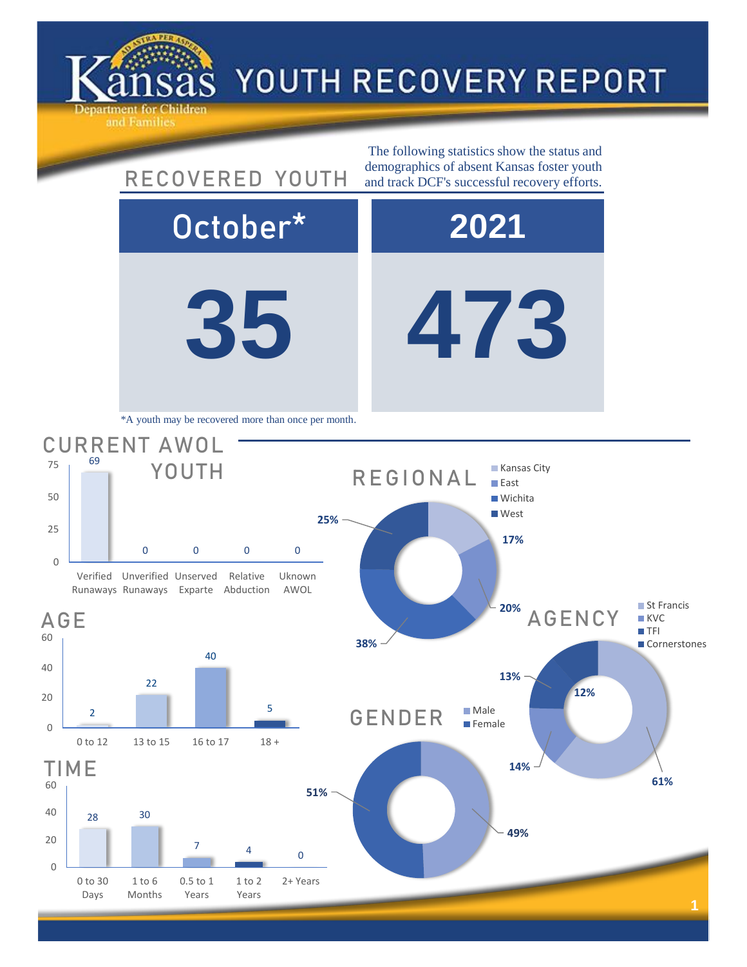

## YOUTH RECOVERY REPORT

**35 473** October\* **2021** 28 30 TIME **49% 51%** GENDER Male **Female 61% 14% 13% 12%** AGENCY ■ St Francis **KVC TFI Cornerstones** 2 22 40 5 0 to 12 13 to 15 16 to 17 18 + AGE 69 0 0 0 0 Verified Unverified Unserved Runaways Runaways Exparte Abduction Relative Uknown AWOL CURRENT AWOL YOUTH The following statistics show the status and RECOVERED YOUTH demographics of absent Kansas foster youth and track DCF's successful recovery efforts. \*A youth may be recovered more than once per month. **17% 20% 38% 25%** REGIONAL **Kansas City East Wichita West** 

 $7$  4

1 to 2 Years

0.5 to 1 Years

0

0 to 30 Days

1 to 6 Months

20

40

60

0

20

40

60

0

25

50

75

0

2+ Years